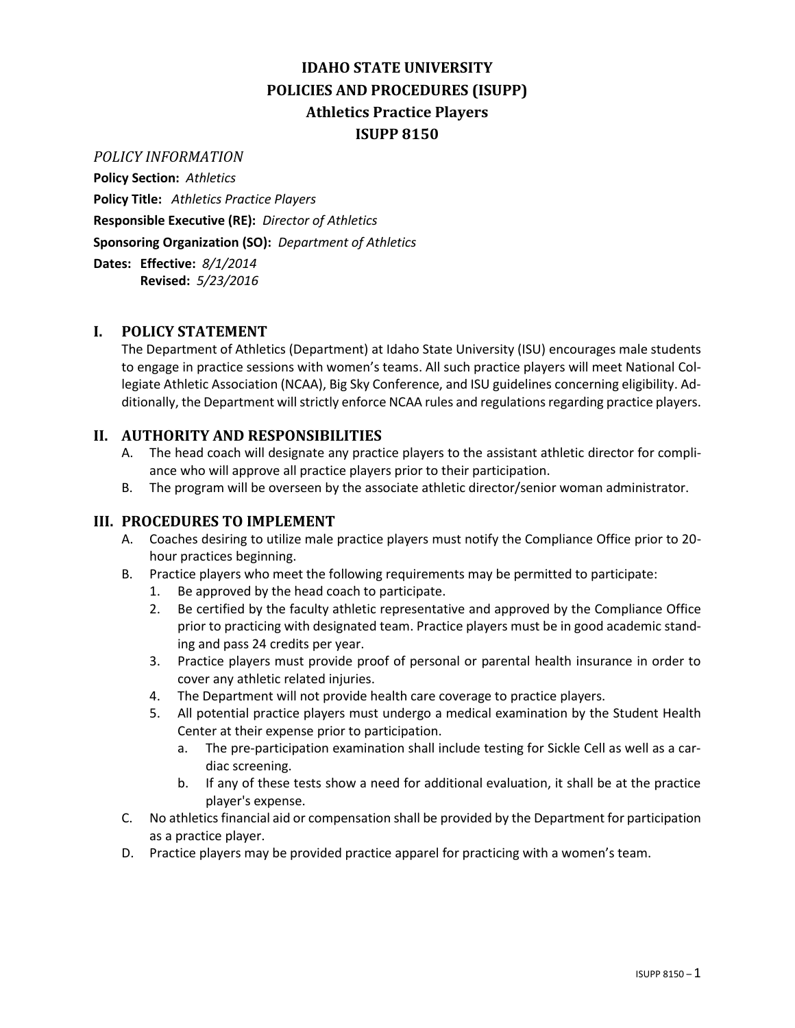# **IDAHO STATE UNIVERSITY POLICIES AND PROCEDURES (ISUPP) Athletics Practice Players ISUPP 8150**

#### *POLICY INFORMATION*

**Policy Section:** *Athletics*

**Policy Title:** *Athletics Practice Players* **Responsible Executive (RE):** *Director of Athletics* **Sponsoring Organization (SO):** *Department of Athletics*

**Dates: Effective:** *8/1/2014* **Revised:** *5/23/2016*

## **I. POLICY STATEMENT**

The Department of Athletics (Department) at Idaho State University (ISU) encourages male students to engage in practice sessions with women's teams. All such practice players will meet National Collegiate Athletic Association (NCAA), Big Sky Conference, and ISU guidelines concerning eligibility. Additionally, the Department will strictly enforce NCAA rules and regulations regarding practice players.

## **II. AUTHORITY AND RESPONSIBILITIES**

- A. The head coach will designate any practice players to the assistant athletic director for compliance who will approve all practice players prior to their participation.
- B. The program will be overseen by the associate athletic director/senior woman administrator.

#### **III. PROCEDURES TO IMPLEMENT**

- A. Coaches desiring to utilize male practice players must notify the Compliance Office prior to 20 hour practices beginning.
- B. Practice players who meet the following requirements may be permitted to participate:
	- 1. Be approved by the head coach to participate.
	- 2. Be certified by the faculty athletic representative and approved by the Compliance Office prior to practicing with designated team. Practice players must be in good academic standing and pass 24 credits per year.
	- 3. Practice players must provide proof of personal or parental health insurance in order to cover any athletic related injuries.
	- 4. The Department will not provide health care coverage to practice players.
	- 5. All potential practice players must undergo a medical examination by the Student Health Center at their expense prior to participation.
		- a. The pre-participation examination shall include testing for Sickle Cell as well as a cardiac screening.
		- b. If any of these tests show a need for additional evaluation, it shall be at the practice player's expense.
- C. No athletics financial aid or compensation shall be provided by the Department for participation as a practice player.
- D. Practice players may be provided practice apparel for practicing with a women's team.